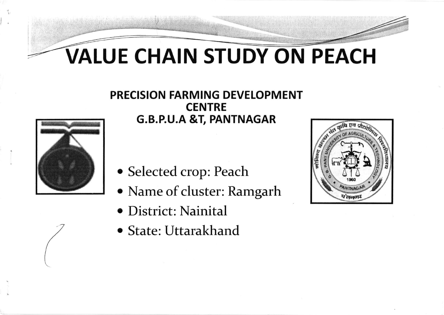## VALUE CHAIN STUDY ON PEACH

## PRECISION FARMING DEVELOPMENT **CENTRE**  $\overline{G.B.P.U.A \& T, PANTNAGAR}$



- o Selected crop: Peach
- o Name of cluster: Ramgarh
- o District: Nainital
- o State: Uttarakhand



G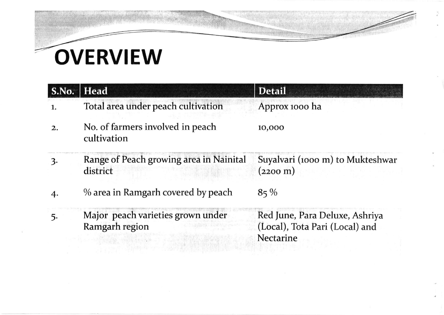# **OVERVIEW**

|                  | S.No.   Head                                        | <b>Detail</b>                                                                 |
|------------------|-----------------------------------------------------|-------------------------------------------------------------------------------|
|                  | Total area under peach cultivation                  | Approx 1000 ha                                                                |
| $\overline{2}$ . | No. of farmers involved in peach<br>cultivation     | 10,000                                                                        |
| 3.               | Range of Peach growing area in Nainital<br>district | Suyalvari (1000 m) to Mukteshwar<br>$(2200 \;{\rm m})$                        |
|                  | % area in Ramgarh covered by peach                  | $85\%$                                                                        |
|                  | Major peach varieties grown under<br>Ramgarh region | Red June, Para Deluxe, Ashriya<br>(Local), Tota Pari (Local) and<br>Nectarine |